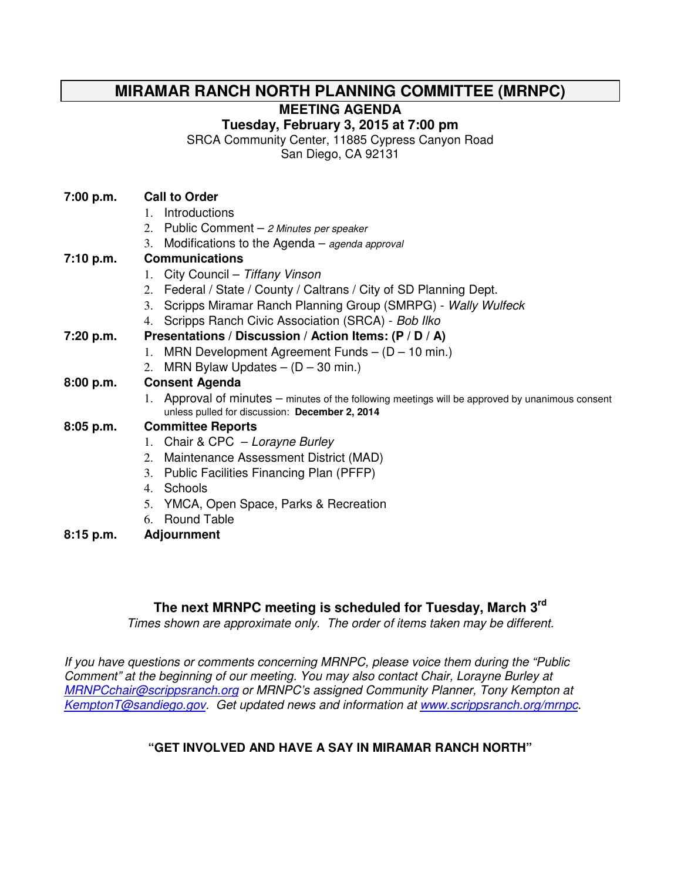# **MIRAMAR RANCH NORTH PLANNING COMMITTEE (MRNPC)**

**MEETING AGENDA** 

**Tuesday, February 3, 2015 at 7:00 pm** 

SRCA Community Center, 11885 Cypress Canyon Road

San Diego, CA 92131

- 1. Introductions
- 2. Public Comment 2 Minutes per speaker
- 3. Modifications to the Agenda agenda approval

## **7:10 p.m. Communications**

- 1. City Council Tiffany Vinson
- 2. Federal / State / County / Caltrans / City of SD Planning Dept.
- 3. Scripps Miramar Ranch Planning Group (SMRPG) Wally Wulfeck
- 4. Scripps Ranch Civic Association (SRCA) Bob Ilko

### **7:20 p.m. Presentations / Discussion / Action Items: (P / D / A)**

- 1. MRN Development Agreement Funds (D 10 min.)
- 2. MRN Bylaw Updates  $(D 30 \text{ min.})$

## **8:00 p.m. Consent Agenda**

1. Approval of minutes – minutes of the following meetings will be approved by unanimous consent unless pulled for discussion: **December 2, 2014**

## **8:05 p.m. Committee Reports**

- 1. Chair & CPC Lorayne Burley
- 2. Maintenance Assessment District (MAD)
- 3. Public Facilities Financing Plan (PFFP)
- 4. Schools
- 5. YMCA, Open Space, Parks & Recreation
- 6. Round Table
- **8:15 p.m. Adjournment**

## **The next MRNPC meeting is scheduled for Tuesday, March 3rd**

Times shown are approximate only. The order of items taken may be different.

If you have questions or comments concerning MRNPC, please voice them during the "Public Comment" at the beginning of our meeting. You may also contact Chair, Lorayne Burley at MRNPCchair@scrippsranch.org or MRNPC's assigned Community Planner, Tony Kempton at KemptonT@sandiego.gov. Get updated news and information at www.scrippsranch.org/mrnpc.

# **"GET INVOLVED AND HAVE A SAY IN MIRAMAR RANCH NORTH"**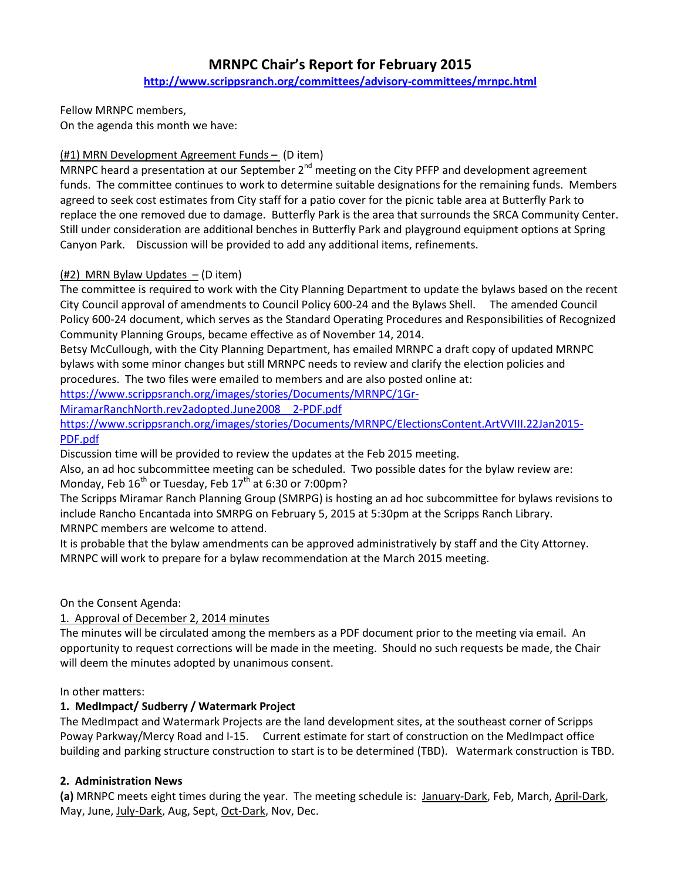## MRNPC Chair's Report for February 2015

http://www.scrippsranch.org/committees/advisory-committees/mrnpc.html

Fellow MRNPC members,

On the agenda this month we have:

### (#1) MRN Development Agreement Funds – (D item)

MRNPC heard a presentation at our September  $2^{nd}$  meeting on the City PFFP and development agreement funds. The committee continues to work to determine suitable designations for the remaining funds. Members agreed to seek cost estimates from City staff for a patio cover for the picnic table area at Butterfly Park to replace the one removed due to damage. Butterfly Park is the area that surrounds the SRCA Community Center. Still under consideration are additional benches in Butterfly Park and playground equipment options at Spring Canyon Park. Discussion will be provided to add any additional items, refinements.

## $(#2)$  MRN Bylaw Updates  $-$  (D item)

The committee is required to work with the City Planning Department to update the bylaws based on the recent City Council approval of amendments to Council Policy 600-24 and the Bylaws Shell. The amended Council Policy 600-24 document, which serves as the Standard Operating Procedures and Responsibilities of Recognized Community Planning Groups, became effective as of November 14, 2014.

Betsy McCullough, with the City Planning Department, has emailed MRNPC a draft copy of updated MRNPC bylaws with some minor changes but still MRNPC needs to review and clarify the election policies and procedures. The two files were emailed to members and are also posted online at:

https://www.scrippsranch.org/images/stories/Documents/MRNPC/1Gr-

MiramarRanchNorth.rev2adopted.June2008\_\_2-PDF.pdf

https://www.scrippsranch.org/images/stories/Documents/MRNPC/ElectionsContent.ArtVVIII.22Jan2015- PDF.pdf

Discussion time will be provided to review the updates at the Feb 2015 meeting.

Also, an ad hoc subcommittee meeting can be scheduled. Two possible dates for the bylaw review are: Monday, Feb  $16^{th}$  or Tuesday, Feb  $17^{th}$  at 6:30 or 7:00pm?

The Scripps Miramar Ranch Planning Group (SMRPG) is hosting an ad hoc subcommittee for bylaws revisions to include Rancho Encantada into SMRPG on February 5, 2015 at 5:30pm at the Scripps Ranch Library. MRNPC members are welcome to attend.

It is probable that the bylaw amendments can be approved administratively by staff and the City Attorney. MRNPC will work to prepare for a bylaw recommendation at the March 2015 meeting.

On the Consent Agenda:

1. Approval of December 2, 2014 minutes

The minutes will be circulated among the members as a PDF document prior to the meeting via email. An opportunity to request corrections will be made in the meeting. Should no such requests be made, the Chair will deem the minutes adopted by unanimous consent.

### In other matters:

### 1. MedImpact/ Sudberry / Watermark Project

The MedImpact and Watermark Projects are the land development sites, at the southeast corner of Scripps Poway Parkway/Mercy Road and I-15. Current estimate for start of construction on the MedImpact office building and parking structure construction to start is to be determined (TBD). Watermark construction is TBD.

### 2. Administration News

(a) MRNPC meets eight times during the year. The meeting schedule is: January-Dark, Feb, March, April-Dark, May, June, July-Dark, Aug, Sept, Oct-Dark, Nov, Dec.